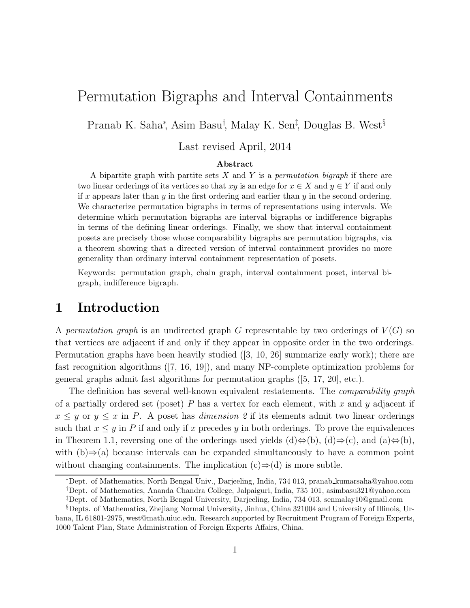# Permutation Bigraphs and Interval Containments

Pranab K. Saha<sup>\*</sup>, Asim Basu<sup>†</sup>, Malay K. Sen<sup>‡</sup>, Douglas B. West<sup>§</sup>

#### Last revised April, 2014

#### Abstract

A bipartite graph with partite sets X and Y is a *permutation bigraph* if there are two linear orderings of its vertices so that xy is an edge for  $x \in X$  and  $y \in Y$  if and only if x appears later than  $y$  in the first ordering and earlier than  $y$  in the second ordering. We characterize permutation bigraphs in terms of representations using intervals. We determine which permutation bigraphs are interval bigraphs or indifference bigraphs in terms of the defining linear orderings. Finally, we show that interval containment posets are precisely those whose comparability bigraphs are permutation bigraphs, via a theorem showing that a directed version of interval containment provides no more generality than ordinary interval containment representation of posets.

Keywords: permutation graph, chain graph, interval containment poset, interval bigraph, indifference bigraph.

#### 1 Introduction

A *permutation graph* is an undirected graph G representable by two orderings of  $V(G)$  so that vertices are adjacent if and only if they appear in opposite order in the two orderings. Permutation graphs have been heavily studied ([3, 10, 26] summarize early work); there are fast recognition algorithms ([7, 16, 19]), and many NP-complete optimization problems for general graphs admit fast algorithms for permutation graphs ([5, 17, 20], etc.).

The definition has several well-known equivalent restatements. The *comparability graph* of a partially ordered set (poset) P has a vertex for each element, with x and y adjacent if  $x \leq y$  or  $y \leq x$  in P. A poset has *dimension* 2 if its elements admit two linear orderings such that  $x \leq y$  in P if and only if x precedes y in both orderings. To prove the equivalences in Theorem 1.1, reversing one of the orderings used yields (d) $\Leftrightarrow$ (b), (d)⇒(c), and (a) $\Leftrightarrow$ (b), with (b)⇒(a) because intervals can be expanded simultaneously to have a common point without changing containments. The implication  $(c) \Rightarrow (d)$  is more subtle.

<sup>∗</sup>Dept. of Mathematics, North Bengal Univ., Darjeeling, India, 734 013, pranab kumarsaha@yahoo.com †Dept. of Mathematics, Ananda Chandra College, Jalpaiguri, India, 735 101, asimbasu321@yahoo.com

<sup>‡</sup>Dept. of Mathematics, North Bengal University, Darjeeling, India, 734 013, senmalay10@gmail.com

<sup>§</sup>Depts. of Mathematics, Zhejiang Normal University, Jinhua, China 321004 and University of Illinois, Urbana, IL 61801-2975, west@math.uiuc.edu. Research supported by Recruitment Program of Foreign Experts, 1000 Talent Plan, State Administration of Foreign Experts Affairs, China.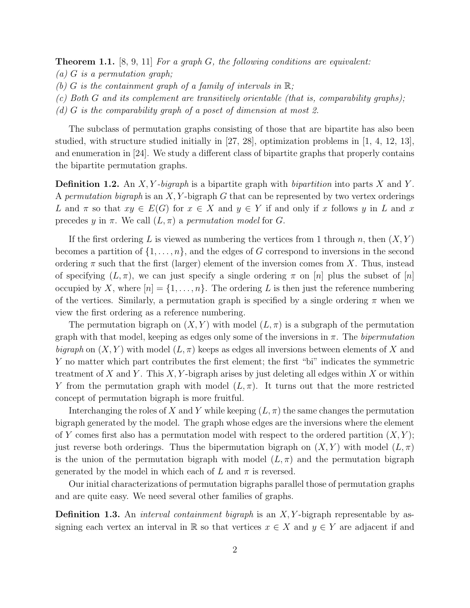Theorem 1.1. [8, 9, 11] *For a graph* G*, the following conditions are equivalent:*

- *(a)* G *is a permutation graph;*
- *(b)* G *is the containment graph of a family of intervals in*  $\mathbb{R}$ ;
- *(c) Both* G *and its complement are transitively orientable (that is, comparability graphs);*
- *(d)* G *is the comparability graph of a poset of dimension at most 2.*

The subclass of permutation graphs consisting of those that are bipartite has also been studied, with structure studied initially in [27, 28], optimization problems in  $[1, 4, 12, 13]$ , and enumeration in [24]. We study a different class of bipartite graphs that properly contains the bipartite permutation graphs.

Definition 1.2. An X, Y *-bigraph* is a bipartite graph with *bipartition* into parts X and Y . A *permutation bigraph* is an X, Y -bigraph G that can be represented by two vertex orderings L and  $\pi$  so that  $xy \in E(G)$  for  $x \in X$  and  $y \in Y$  if and only if x follows y in L and x precedes y in  $\pi$ . We call  $(L, \pi)$  a *permutation model* for G.

If the first ordering L is viewed as numbering the vertices from 1 through n, then  $(X, Y)$ becomes a partition of  $\{1, \ldots, n\}$ , and the edges of G correspond to inversions in the second ordering  $\pi$  such that the first (larger) element of the inversion comes from X. Thus, instead of specifying  $(L, \pi)$ , we can just specify a single ordering  $\pi$  on [n] plus the subset of [n] occupied by X, where  $[n] = \{1, \ldots, n\}$ . The ordering L is then just the reference numbering of the vertices. Similarly, a permutation graph is specified by a single ordering  $\pi$  when we view the first ordering as a reference numbering.

The permutation bigraph on  $(X, Y)$  with model  $(L, \pi)$  is a subgraph of the permutation graph with that model, keeping as edges only some of the inversions in π. The *bipermutation bigraph* on  $(X, Y)$  with model  $(L, \pi)$  keeps as edges all inversions between elements of X and Y no matter which part contributes the first element; the first "bi" indicates the symmetric treatment of X and Y. This X, Y-bigraph arises by just deleting all edges within X or within Y from the permutation graph with model  $(L, \pi)$ . It turns out that the more restricted concept of permutation bigraph is more fruitful.

Interchanging the roles of X and Y while keeping  $(L, \pi)$  the same changes the permutation bigraph generated by the model. The graph whose edges are the inversions where the element of Y comes first also has a permutation model with respect to the ordered partition  $(X, Y)$ ; just reverse both orderings. Thus the bipermutation bigraph on  $(X, Y)$  with model  $(L, \pi)$ is the union of the permutation bigraph with model  $(L, \pi)$  and the permutation bigraph generated by the model in which each of L and  $\pi$  is reversed.

Our initial characterizations of permutation bigraphs parallel those of permutation graphs and are quite easy. We need several other families of graphs.

Definition 1.3. An *interval containment bigraph* is an X, Y -bigraph representable by assigning each vertex an interval in R so that vertices  $x \in X$  and  $y \in Y$  are adjacent if and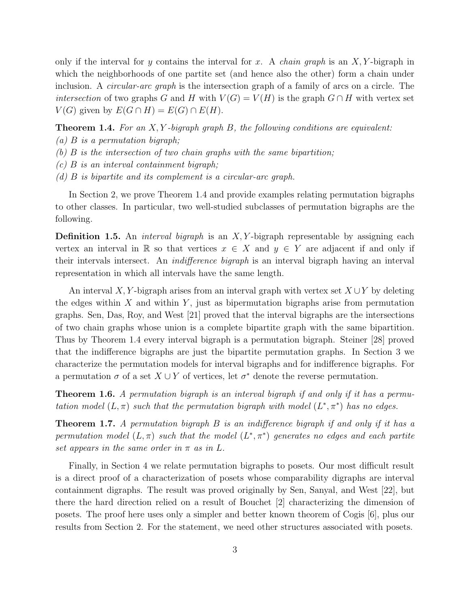only if the interval for y contains the interval for x. A *chain graph* is an X, Y -bigraph in which the neighborhoods of one partite set (and hence also the other) form a chain under inclusion. A *circular-arc graph* is the intersection graph of a family of arcs on a circle. The *intersection* of two graphs G and H with  $V(G) = V(H)$  is the graph  $G \cap H$  with vertex set  $V(G)$  given by  $E(G \cap H) = E(G) \cap E(H)$ .

Theorem 1.4. *For an* X, Y *-bigraph graph* B*, the following conditions are equivalent:*

- *(a)* B *is a permutation bigraph;*
- *(b)* B *is the intersection of two chain graphs with the same bipartition;*
- *(c)* B *is an interval containment bigraph;*
- *(d)* B *is bipartite and its complement is a circular-arc graph.*

In Section 2, we prove Theorem 1.4 and provide examples relating permutation bigraphs to other classes. In particular, two well-studied subclasses of permutation bigraphs are the following.

Definition 1.5. An *interval bigraph* is an X, Y -bigraph representable by assigning each vertex an interval in R so that vertices  $x \in X$  and  $y \in Y$  are adjacent if and only if their intervals intersect. An *indifference bigraph* is an interval bigraph having an interval representation in which all intervals have the same length.

An interval X, Y-bigraph arises from an interval graph with vertex set  $X \cup Y$  by deleting the edges within  $X$  and within  $Y$ , just as bipermutation bigraphs arise from permutation graphs. Sen, Das, Roy, and West [21] proved that the interval bigraphs are the intersections of two chain graphs whose union is a complete bipartite graph with the same bipartition. Thus by Theorem 1.4 every interval bigraph is a permutation bigraph. Steiner [28] proved that the indifference bigraphs are just the bipartite permutation graphs. In Section 3 we characterize the permutation models for interval bigraphs and for indifference bigraphs. For a permutation  $\sigma$  of a set  $X \cup Y$  of vertices, let  $\sigma^*$  denote the reverse permutation.

Theorem 1.6. *A permutation bigraph is an interval bigraph if and only if it has a permutation model*  $(L, \pi)$  *such that the permutation bigraph with model*  $(L^*, \pi^*)$  *has no edges.* 

Theorem 1.7. *A permutation bigraph* B *is an indifference bigraph if and only if it has a*  $permutation model (L, \pi)$  *such that the model*  $(L^*, \pi^*)$  *generates no edges and each partite set appears in the same order in*  $\pi$  *as in*  $L$ *.* 

Finally, in Section 4 we relate permutation bigraphs to posets. Our most difficult result is a direct proof of a characterization of posets whose comparability digraphs are interval containment digraphs. The result was proved originally by Sen, Sanyal, and West [22], but there the hard direction relied on a result of Bouchet [2] characterizing the dimension of posets. The proof here uses only a simpler and better known theorem of Cogis [6], plus our results from Section 2. For the statement, we need other structures associated with posets.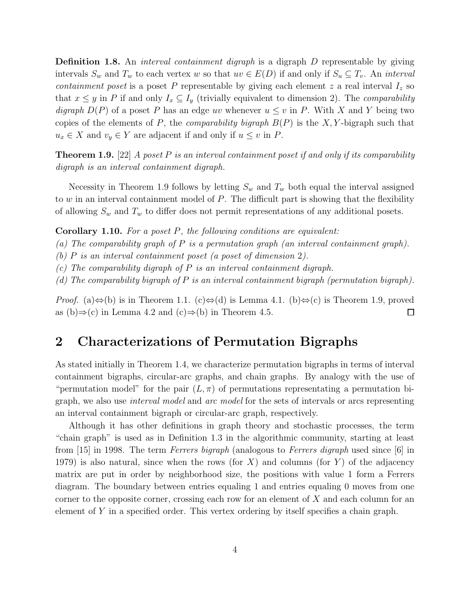Definition 1.8. An *interval containment digraph* is a digraph D representable by giving intervals  $S_w$  and  $T_w$  to each vertex w so that  $uv \in E(D)$  if and only if  $S_u \subseteq T_v$ . An *interval containment poset* is a poset P representable by giving each element  $z$  a real interval  $I_z$  so that  $x \leq y$  in P if and only  $I_x \subseteq I_y$  (trivially equivalent to dimension 2). The *comparability digraph*  $D(P)$  of a poset P has an edge uv whenever  $u \leq v$  in P. With X and Y being two copies of the elements of P, the *comparability bigraph* B(P) is the X, Y -bigraph such that  $u_x \in X$  and  $v_y \in Y$  are adjacent if and only if  $u \leq v$  in P.

Theorem 1.9. [22] *A poset* P *is an interval containment poset if and only if its comparability digraph is an interval containment digraph.*

Necessity in Theorem 1.9 follows by letting  $S_w$  and  $T_w$  both equal the interval assigned to  $w$  in an interval containment model of  $P$ . The difficult part is showing that the flexibility of allowing  $S_w$  and  $T_w$  to differ does not permit representations of any additional posets.

Corollary 1.10. *For a poset* P*, the following conditions are equivalent:*

*(a) The comparability graph of* P *is a permutation graph (an interval containment graph).*

*(b)* P *is an interval containment poset (a poset of dimension* 2*).*

*(c) The comparability digraph of* P *is an interval containment digraph.*

*(d) The comparability bigraph of* P *is an interval containment bigraph (permutation bigraph).*

*Proof.* (a) $\Leftrightarrow$ (b) is in Theorem 1.1. (c) $\Leftrightarrow$ (d) is Lemma 4.1. (b) $\Leftrightarrow$ (c) is Theorem 1.9, proved as (b)⇒(c) in Lemma 4.2 and (c)⇒(b) in Theorem 4.5.  $\Box$ 

#### 2 Characterizations of Permutation Bigraphs

As stated initially in Theorem 1.4, we characterize permutation bigraphs in terms of interval containment bigraphs, circular-arc graphs, and chain graphs. By analogy with the use of "permutation model" for the pair  $(L, \pi)$  of permutations representating a permutation bigraph, we also use *interval model* and *arc model* for the sets of intervals or arcs representing an interval containment bigraph or circular-arc graph, respectively.

Although it has other definitions in graph theory and stochastic processes, the term "chain graph" is used as in Definition 1.3 in the algorithmic community, starting at least from [15] in 1998. The term *Ferrers bigraph* (analogous to *Ferrers digraph* used since [6] in 1979) is also natural, since when the rows (for X) and columns (for Y) of the adjacency matrix are put in order by neighborhood size, the positions with value 1 form a Ferrers diagram. The boundary between entries equaling 1 and entries equaling 0 moves from one corner to the opposite corner, crossing each row for an element of X and each column for an element of Y in a specified order. This vertex ordering by itself specifies a chain graph.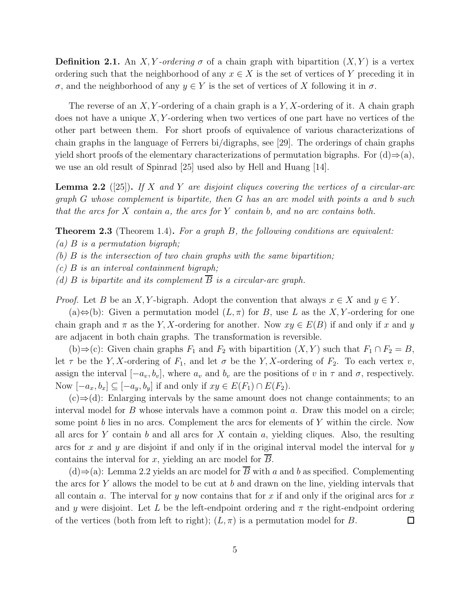**Definition 2.1.** An X, Y-ordering  $\sigma$  of a chain graph with bipartition  $(X, Y)$  is a vertex ordering such that the neighborhood of any  $x \in X$  is the set of vertices of Y preceding it in σ, and the neighborhood of any y ∈ Y is the set of vertices of X following it in σ.

The reverse of an  $X, Y$ -ordering of a chain graph is a  $Y, X$ -ordering of it. A chain graph does not have a unique  $X, Y$ -ordering when two vertices of one part have no vertices of the other part between them. For short proofs of equivalence of various characterizations of chain graphs in the language of Ferrers bi/digraphs, see [29]. The orderings of chain graphs yield short proofs of the elementary characterizations of permutation bigraphs. For  $(d) \Rightarrow (a)$ , we use an old result of Spinrad [25] used also by Hell and Huang [14].

Lemma 2.2 ([25]). *If* X *and* Y *are disjoint cliques covering the vertices of a circular-arc graph* G *whose complement is bipartite, then* G *has an arc model with points* a *and* b *such that the arcs for* X *contain* a*, the arcs for* Y *contain* b*, and no arc contains both.*

Theorem 2.3 (Theorem 1.4). *For a graph* B*, the following conditions are equivalent:*

*(a)* B *is a permutation bigraph;*

*(b)* B *is the intersection of two chain graphs with the same bipartition;*

*(c)* B *is an interval containment bigraph;*

*(d)* B *is bipartite and its complement*  $\overline{B}$  *is a circular-arc graph.* 

*Proof.* Let B be an X, Y-bigraph. Adopt the convention that always  $x \in X$  and  $y \in Y$ .

(a) $\Leftrightarrow$ (b): Given a permutation model  $(L, \pi)$  for B, use L as the X, Y-ordering for one chain graph and  $\pi$  as the Y, X-ordering for another. Now  $xy \in E(B)$  if and only if x and y are adjacent in both chain graphs. The transformation is reversible.

(b)⇒(c): Given chain graphs  $F_1$  and  $F_2$  with bipartition  $(X, Y)$  such that  $F_1 \cap F_2 = B$ , let  $\tau$  be the Y, X-ordering of  $F_1$ , and let  $\sigma$  be the Y, X-ordering of  $F_2$ . To each vertex v, assign the interval  $[-a_v, b_v]$ , where  $a_v$  and  $b_v$  are the positions of v in  $\tau$  and  $\sigma$ , respectively. Now  $[-a_x, b_x] \subseteq [-a_y, b_y]$  if and only if  $xy \in E(F_1) \cap E(F_2)$ .

 $(c) \Rightarrow (d)$ : Enlarging intervals by the same amount does not change containments; to an interval model for  $B$  whose intervals have a common point  $a$ . Draw this model on a circle; some point b lies in no arcs. Complement the arcs for elements of  $Y$  within the circle. Now all arcs for Y contain b and all arcs for X contain a, yielding cliques. Also, the resulting arcs for x and y are disjoint if and only if in the original interval model the interval for  $y$ contains the interval for x, yielding an arc model for  $\overline{B}$ .

(d)⇒(a): Lemma 2.2 yields an arc model for  $\overline{B}$  with a and b as specified. Complementing the arcs for Y allows the model to be cut at b and drawn on the line, yielding intervals that all contain a. The interval for y now contains that for x if and only if the original arcs for x and y were disjoint. Let L be the left-endpoint ordering and  $\pi$  the right-endpoint ordering of the vertices (both from left to right);  $(L, \pi)$  is a permutation model for B.  $\Box$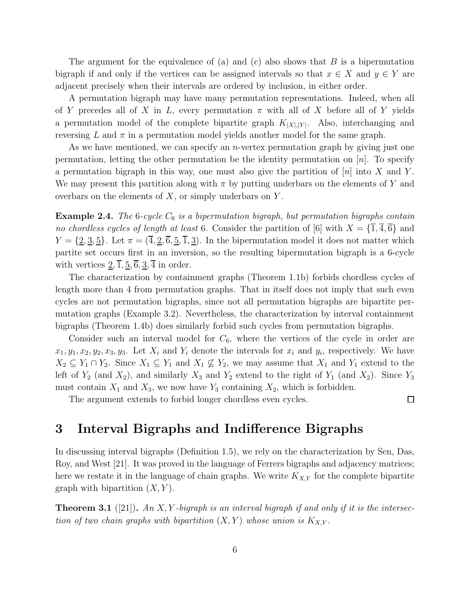The argument for the equivalence of (a) and (c) also shows that  $B$  is a bipermutation bigraph if and only if the vertices can be assigned intervals so that  $x \in X$  and  $y \in Y$  are adjacent precisely when their intervals are ordered by inclusion, in either order.

A permutation bigraph may have many permutation representations. Indeed, when all of Y precedes all of X in L, every permutation  $\pi$  with all of X before all of Y yields a permutation model of the complete bipartite graph  $K_{[X],[Y]}$ . Also, interchanging and reversing L and  $\pi$  in a permutation model yields another model for the same graph.

As we have mentioned, we can specify an *n*-vertex permutation graph by giving just one permutation, letting the other permutation be the identity permutation on  $[n]$ . To specify a permutation bigraph in this way, one must also give the partition of  $[n]$  into X and Y. We may present this partition along with  $\pi$  by putting underbars on the elements of Y and overbars on the elements of  $X$ , or simply underbars on  $Y$ .

Example 2.4. *The* 6*-cycle*  $C_6$  *is a bipermutation bigraph, but permutation bigraphs contain no chordless cycles of length at least* 6. Consider the partition of [6] with  $X = \{\overline{1}, \overline{4}, \overline{6}\}$  and  $Y = \{2, 3, 5\}$ . Let  $\pi = (\overline{4}, \overline{2}, \overline{6}, \overline{5}, \overline{1}, \overline{3})$ . In the bipermutation model it does not matter which partite set occurs first in an inversion, so the resulting bipermutation bigraph is a 6-cycle with vertices  $2, \overline{1}, \underline{5}, \overline{6}, \underline{3}, \overline{4}$  in order.

The characterization by containment graphs (Theorem 1.1b) forbids chordless cycles of length more than 4 from permutation graphs. That in itself does not imply that such even cycles are not permutation bigraphs, since not all permutation bigraphs are bipartite permutation graphs (Example 3.2). Nevertheless, the characterization by interval containment bigraphs (Theorem 1.4b) does similarly forbid such cycles from permutation bigraphs.

Consider such an interval model for  $C_6$ , where the vertices of the cycle in order are  $x_1, y_1, x_2, y_2, x_3, y_3$ . Let  $X_i$  and  $Y_i$  denote the intervals for  $x_i$  and  $y_i$ , respectively. We have  $X_2 \subseteq Y_1 \cap Y_2$ . Since  $X_1 \subseteq Y_1$  and  $X_1 \not\subseteq Y_2$ , we may assume that  $X_1$  and  $Y_1$  extend to the left of  $Y_2$  (and  $X_2$ ), and similarly  $X_3$  and  $Y_2$  extend to the right of  $Y_1$  (and  $X_2$ ). Since  $Y_3$ must contain  $X_1$  and  $X_3$ , we now have  $Y_3$  containing  $X_2$ , which is forbidden.

The argument extends to forbid longer chordless even cycles.

 $\Box$ 

### 3 Interval Bigraphs and Indifference Bigraphs

In discussing interval bigraphs (Definition 1.5), we rely on the characterization by Sen, Das, Roy, and West [21]. It was proved in the language of Ferrers bigraphs and adjacency matrices; here we restate it in the language of chain graphs. We write  $K_{X,Y}$  for the complete bipartite graph with bipartition  $(X, Y)$ .

Theorem 3.1 ([21]). *An* X, Y *-bigraph is an interval bigraph if and only if it is the intersection of two chain graphs with bipartition*  $(X, Y)$  *whose union is*  $K_{X,Y}$ *.*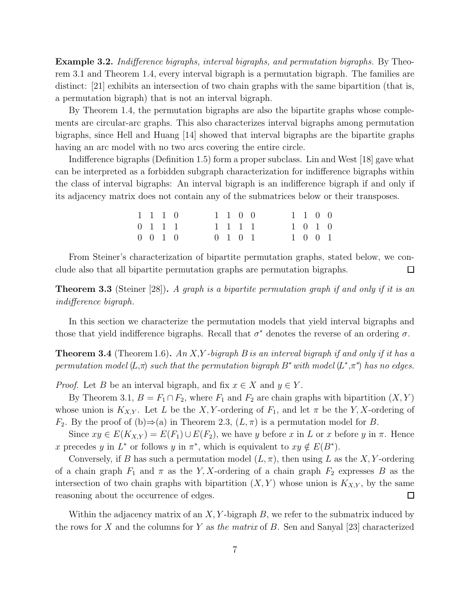Example 3.2. *Indifference bigraphs, interval bigraphs, and permutation bigraphs.* By Theorem 3.1 and Theorem 1.4, every interval bigraph is a permutation bigraph. The families are distinct: [21] exhibits an intersection of two chain graphs with the same bipartition (that is, a permutation bigraph) that is not an interval bigraph.

By Theorem 1.4, the permutation bigraphs are also the bipartite graphs whose complements are circular-arc graphs. This also characterizes interval bigraphs among permutation bigraphs, since Hell and Huang [14] showed that interval bigraphs are the bipartite graphs having an arc model with no two arcs covering the entire circle.

Indifference bigraphs (Definition 1.5) form a proper subclass. Lin and West [18] gave what can be interpreted as a forbidden subgraph characterization for indifference bigraphs within the class of interval bigraphs: An interval bigraph is an indifference bigraph if and only if its adjacency matrix does not contain any of the submatrices below or their transposes.

| 1 1 1 0            |  |  | $1 \t1 \t0 \t0$ |  |  | $1\quad1\quad0\quad0$ |  |
|--------------------|--|--|-----------------|--|--|-----------------------|--|
| $0 \t1 \t1 \t1$    |  |  | 1 1 1 1         |  |  | 1 0 1 0               |  |
| $0 \t 0 \t 1 \t 0$ |  |  | $0 \t1 \t0 \t1$ |  |  | $1 \t0 \t0 \t1$       |  |

From Steiner's characterization of bipartite permutation graphs, stated below, we conclude also that all bipartite permutation graphs are permutation bigraphs.  $\Box$ 

Theorem 3.3 (Steiner [28]). *A graph is a bipartite permutation graph if and only if it is an indifference bigraph.*

In this section we characterize the permutation models that yield interval bigraphs and those that yield indifference bigraphs. Recall that  $\sigma^*$  denotes the reverse of an ordering  $\sigma$ .

Theorem 3.4 (Theorem 1.6). *An* X,Y *-bigraph* B *is an interval bigraph if and only if it has a permutation model*  $(L,\pi)$  *such that the permutation bigraph*  $B^*$  *with model*  $(L^*,\pi^*)$  *has no edges.* 

*Proof.* Let B be an interval bigraph, and fix  $x \in X$  and  $y \in Y$ .

By Theorem 3.1,  $B = F_1 \cap F_2$ , where  $F_1$  and  $F_2$  are chain graphs with bipartition  $(X, Y)$ whose union is  $K_{X,Y}$ . Let L be the X, Y-ordering of  $F_1$ , and let  $\pi$  be the Y, X-ordering of  $F_2$ . By the proof of (b) $\Rightarrow$  (a) in Theorem 2.3,  $(L, \pi)$  is a permutation model for B.

Since  $xy \in E(K_{X,Y}) = E(F_1) \cup E(F_2)$ , we have y before x in L or x before y in  $\pi$ . Hence x precedes y in  $L^*$  or follows y in  $\pi^*$ , which is equivalent to  $xy \notin E(B^*)$ .

Conversely, if B has such a permutation model  $(L, \pi)$ , then using L as the X, Y-ordering of a chain graph  $F_1$  and  $\pi$  as the Y, X-ordering of a chain graph  $F_2$  expresses B as the intersection of two chain graphs with bipartition  $(X, Y)$  whose union is  $K_{X,Y}$ , by the same reasoning about the occurrence of edges.  $\Box$ 

Within the adjacency matrix of an  $X, Y$ -bigraph  $B$ , we refer to the submatrix induced by the rows for X and the columns for Y as *the matrix* of B. Sen and Sanyal [23] characterized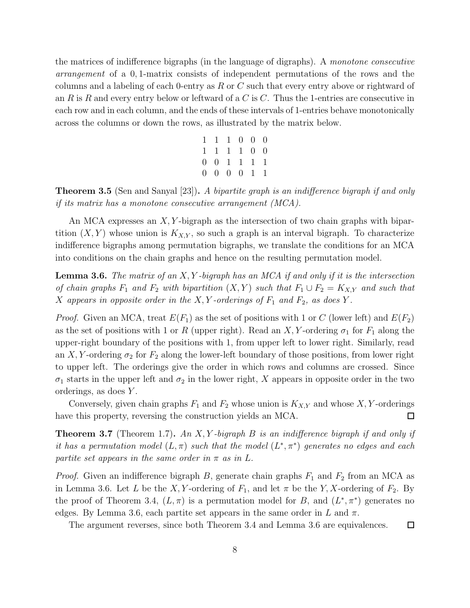the matrices of indifference bigraphs (in the language of digraphs). A *monotone consecutive arrangement* of a 0, 1-matrix consists of independent permutations of the rows and the columns and a labeling of each 0-entry as  $R$  or  $C$  such that every entry above or rightward of an R is R and every entry below or leftward of a C is C. Thus the 1-entries are consecutive in each row and in each column, and the ends of these intervals of 1-entries behave monotonically across the columns or down the rows, as illustrated by the matrix below.

| 1 1 1 0 0 0             |  |  |
|-------------------------|--|--|
| 1 1 1 1 0 0             |  |  |
| 0 0 1 1 1 1             |  |  |
| $0 \t0 \t0 \t0 \t1 \t1$ |  |  |

Theorem 3.5 (Sen and Sanyal [23]). *A bipartite graph is an indifference bigraph if and only if its matrix has a monotone consecutive arrangement (MCA).*

An MCA expresses an X, Y -bigraph as the intersection of two chain graphs with bipartition  $(X, Y)$  whose union is  $K_{X,Y}$ , so such a graph is an interval bigraph. To characterize indifference bigraphs among permutation bigraphs, we translate the conditions for an MCA into conditions on the chain graphs and hence on the resulting permutation model.

Lemma 3.6. *The matrix of an* X, Y *-bigraph has an MCA if and only if it is the intersection of chain graphs*  $F_1$  *and*  $F_2$  *with bipartition*  $(X, Y)$  *such that*  $F_1 \cup F_2 = K_{X,Y}$  *and such that* X appears in opposite order in the X, Y-orderings of  $F_1$  and  $F_2$ , as does Y.

*Proof.* Given an MCA, treat  $E(F_1)$  as the set of positions with 1 or C (lower left) and  $E(F_2)$ as the set of positions with 1 or R (upper right). Read an X, Y-ordering  $\sigma_1$  for  $F_1$  along the upper-right boundary of the positions with 1, from upper left to lower right. Similarly, read an X, Y-ordering  $\sigma_2$  for  $F_2$  along the lower-left boundary of those positions, from lower right to upper left. The orderings give the order in which rows and columns are crossed. Since  $\sigma_1$  starts in the upper left and  $\sigma_2$  in the lower right, X appears in opposite order in the two orderings, as does Y .

Conversely, given chain graphs  $F_1$  and  $F_2$  whose union is  $K_{X,Y}$  and whose X, Y-orderings have this property, reversing the construction yields an MCA.  $\Box$ 

Theorem 3.7 (Theorem 1.7). *An* X, Y *-bigraph* B *is an indifference bigraph if and only if it has a permutation model*  $(L, \pi)$  *such that the model*  $(L^*, \pi^*)$  *generates no edges and each partite set appears in the same order in*  $\pi$  *as in* L.

*Proof.* Given an indifference bigraph B, generate chain graphs  $F_1$  and  $F_2$  from an MCA as in Lemma 3.6. Let L be the X, Y-ordering of  $F_1$ , and let  $\pi$  be the Y, X-ordering of  $F_2$ . By the proof of Theorem 3.4,  $(L, \pi)$  is a permutation model for B, and  $(L^*, \pi^*)$  generates no edges. By Lemma 3.6, each partite set appears in the same order in L and  $\pi$ .

The argument reverses, since both Theorem 3.4 and Lemma 3.6 are equivalences.

 $\Box$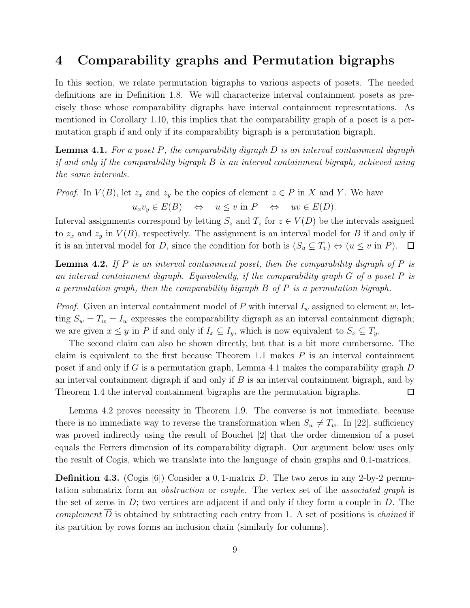#### 4 Comparability graphs and Permutation bigraphs

In this section, we relate permutation bigraphs to various aspects of posets. The needed definitions are in Definition 1.8. We will characterize interval containment posets as precisely those whose comparability digraphs have interval containment representations. As mentioned in Corollary 1.10, this implies that the comparability graph of a poset is a permutation graph if and only if its comparability bigraph is a permutation bigraph.

Lemma 4.1. *For a poset* P*, the comparability digraph* D *is an interval containment digraph if and only if the comparability bigraph* B *is an interval containment bigraph, achieved using the same intervals.*

*Proof.* In  $V(B)$ , let  $z_x$  and  $z_y$  be the copies of element  $z \in P$  in X and Y. We have

 $u_xv_y \in E(B) \Leftrightarrow u \leq v \text{ in } P \Leftrightarrow uv \in E(D).$ 

Interval assignments correspond by letting  $S_z$  and  $T_z$  for  $z \in V(D)$  be the intervals assigned to  $z_x$  and  $z_y$  in  $V(B)$ , respectively. The assignment is an interval model for B if and only if it is an interval model for D, since the condition for both is  $(S_u \subseteq T_v) \Leftrightarrow (u \le v \text{ in } P)$ .  $\Box$ 

Lemma 4.2. *If* P *is an interval containment poset, then the comparability digraph of* P *is an interval containment digraph. Equivalently, if the comparability graph* G *of a poset* P *is a permutation graph, then the comparability bigraph* B *of* P *is a permutation bigraph.*

*Proof.* Given an interval containment model of P with interval  $I_w$  assigned to element w, letting  $S_w = T_w = I_w$  expresses the comparability digraph as an interval containment digraph; we are given  $x \leq y$  in P if and only if  $I_x \subseteq I_y$ , which is now equivalent to  $S_x \subseteq T_y$ .

The second claim can also be shown directly, but that is a bit more cumbersome. The claim is equivalent to the first because Theorem 1.1 makes  $P$  is an interval containment poset if and only if G is a permutation graph, Lemma 4.1 makes the comparability graph D an interval containment digraph if and only if  $B$  is an interval containment bigraph, and by Theorem 1.4 the interval containment bigraphs are the permutation bigraphs.  $\Box$ 

Lemma 4.2 proves necessity in Theorem 1.9. The converse is not immediate, because there is no immediate way to reverse the transformation when  $S_w \neq T_w$ . In [22], sufficiency was proved indirectly using the result of Bouchet [2] that the order dimension of a poset equals the Ferrers dimension of its comparability digraph. Our argument below uses only the result of Cogis, which we translate into the language of chain graphs and 0,1-matrices.

**Definition 4.3.** (Cogis [6]) Consider a 0, 1-matrix D. The two zeros in any 2-by-2 permutation submatrix form an *obstruction* or *couple*. The vertex set of the *associated graph* is the set of zeros in  $D$ ; two vertices are adjacent if and only if they form a couple in  $D$ . The *complement*  $\overline{D}$  is obtained by subtracting each entry from 1. A set of positions is *chained* if its partition by rows forms an inclusion chain (similarly for columns).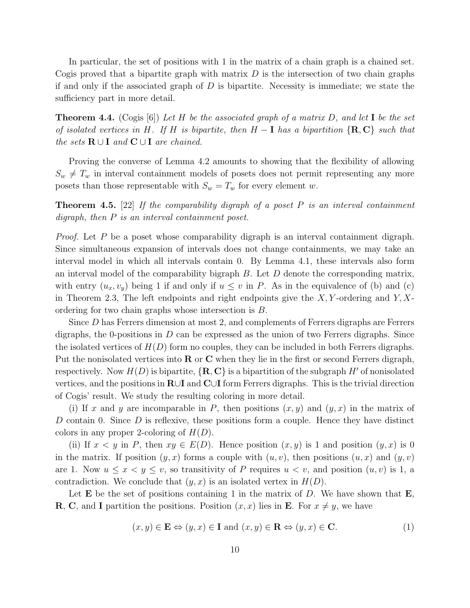In particular, the set of positions with 1 in the matrix of a chain graph is a chained set. Cogis proved that a bipartite graph with matrix  $D$  is the intersection of two chain graphs if and only if the associated graph of  $D$  is bipartite. Necessity is immediate; we state the sufficiency part in more detail.

Theorem 4.4. (Cogis [6]) *Let* H *be the associated graph of a matrix* D*, and let* I *be the set of isolated vertices in* H*. If* H *is bipartite, then* H − I *has a bipartition* {R, C} *such that the sets*  $\mathbf{R} \cup \mathbf{I}$  *and*  $\mathbf{C} \cup \mathbf{I}$  *are chained.* 

Proving the converse of Lemma 4.2 amounts to showing that the flexibility of allowing  $S_w \neq T_w$  in interval containment models of posets does not permit representing any more posets than those representable with  $S_w = T_w$  for every element w.

Theorem 4.5. [22] *If the comparability digraph of a poset* P *is an interval containment digraph, then* P *is an interval containment poset.*

*Proof.* Let P be a poset whose comparability digraph is an interval containment digraph. Since simultaneous expansion of intervals does not change containments, we may take an interval model in which all intervals contain 0. By Lemma 4.1, these intervals also form an interval model of the comparability bigraph  $B$ . Let  $D$  denote the corresponding matrix, with entry  $(u_x, v_y)$  being 1 if and only if  $u \leq v$  in P. As in the equivalence of (b) and (c) in Theorem 2.3, The left endpoints and right endpoints give the  $X, Y$ -ordering and  $Y, X$ ordering for two chain graphs whose intersection is B.

Since  $D$  has Ferrers dimension at most 2, and complements of Ferrers digraphs are Ferrers digraphs, the 0-positions in  $D$  can be expressed as the union of two Ferrers digraphs. Since the isolated vertices of  $H(D)$  form no couples, they can be included in both Ferrers digraphs. Put the nonisolated vertices into  $\bf{R}$  or  $\bf{C}$  when they lie in the first or second Ferrers digraph, respectively. Now  $H(D)$  is bipartite,  $\{R, C\}$  is a bipartition of the subgraph H' of nonisolated vertices, and the positions in R∪I and C∪I form Ferrers digraphs. This is the trivial direction of Cogis' result. We study the resulting coloring in more detail.

(i) If x and y are incomparable in P, then positions  $(x, y)$  and  $(y, x)$  in the matrix of D contain 0. Since D is reflexive, these positions form a couple. Hence they have distinct colors in any proper 2-coloring of  $H(D)$ .

(ii) If  $x < y$  in P, then  $xy \in E(D)$ . Hence position  $(x, y)$  is 1 and position  $(y, x)$  is 0 in the matrix. If position  $(y, x)$  forms a couple with  $(u, v)$ , then positions  $(u, x)$  and  $(y, v)$ are 1. Now  $u \leq x \leq y \leq v$ , so transitivity of P requires  $u \leq v$ , and position  $(u, v)$  is 1, a contradiction. We conclude that  $(y, x)$  is an isolated vertex in  $H(D)$ .

Let **E** be the set of positions containing 1 in the matrix of D. We have shown that  $\mathbf{E}$ , **R**, **C**, and **I** partition the positions. Position  $(x, x)$  lies in **E**. For  $x \neq y$ , we have

$$
(x, y) \in \mathbf{E} \Leftrightarrow (y, x) \in \mathbf{I} \text{ and } (x, y) \in \mathbf{R} \Leftrightarrow (y, x) \in \mathbf{C}.\tag{1}
$$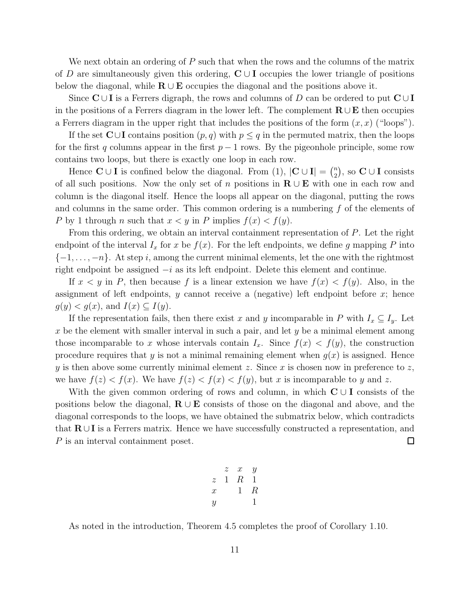We next obtain an ordering of  $P$  such that when the rows and the columns of the matrix of D are simultaneously given this ordering,  $C \cup I$  occupies the lower triangle of positions below the diagonal, while  $\mathbf{R} \cup \mathbf{E}$  occupies the diagonal and the positions above it.

Since  $\mathbf{C} \cup \mathbf{I}$  is a Ferrers digraph, the rows and columns of D can be ordered to put  $\mathbf{C} \cup \mathbf{I}$ in the positions of a Ferrers diagram in the lower left. The complement  $\mathbf{R} \cup \mathbf{E}$  then occupies a Ferrers diagram in the upper right that includes the positions of the form  $(x, x)$  ("loops").

If the set  $\mathbb{C} \cup \mathbb{I}$  contains position  $(p, q)$  with  $p \leq q$  in the permuted matrix, then the loops for the first q columns appear in the first  $p-1$  rows. By the pigeonhole principle, some row contains two loops, but there is exactly one loop in each row.

Hence  $\mathbf{C} \cup \mathbf{I}$  is confined below the diagonal. From (1),  $|\mathbf{C} \cup \mathbf{I}| = {n \choose 2}$ , so  $\mathbf{C} \cup \mathbf{I}$  consists of all such positions. Now the only set of n positions in  $\mathbf{R} \cup \mathbf{E}$  with one in each row and column is the diagonal itself. Hence the loops all appear on the diagonal, putting the rows and columns in the same order. This common ordering is a numbering  $f$  of the elements of P by 1 through n such that  $x < y$  in P implies  $f(x) < f(y)$ .

From this ordering, we obtain an interval containment representation of P. Let the right endpoint of the interval  $I_x$  for x be  $f(x)$ . For the left endpoints, we define g mapping P into  ${-1, \ldots, -n}$ . At step i, among the current minimal elements, let the one with the rightmost right endpoint be assigned  $-i$  as its left endpoint. Delete this element and continue.

If  $x < y$  in P, then because f is a linear extension we have  $f(x) < f(y)$ . Also, in the assignment of left endpoints,  $y$  cannot receive a (negative) left endpoint before  $x$ ; hence  $g(y) < g(x)$ , and  $I(x) \subseteq I(y)$ .

If the representation fails, then there exist x and y incomparable in P with  $I_x \subseteq I_y$ . Let x be the element with smaller interval in such a pair, and let  $y$  be a minimal element among those incomparable to x whose intervals contain  $I_x$ . Since  $f(x) < f(y)$ , the construction procedure requires that y is not a minimal remaining element when  $g(x)$  is assigned. Hence y is then above some currently minimal element z. Since x is chosen now in preference to z, we have  $f(z) < f(x)$ . We have  $f(z) < f(x) < f(y)$ , but x is incomparable to y and z.

With the given common ordering of rows and column, in which  $C \cup I$  consists of the positions below the diagonal,  $\mathbf{R} \cup \mathbf{E}$  consists of those on the diagonal and above, and the diagonal corresponds to the loops, we have obtained the submatrix below, which contradicts that  $\mathbf{R} \cup \mathbf{I}$  is a Ferrers matrix. Hence we have successfully constructed a representation, and P is an interval containment poset.  $\Box$ 

$$
\begin{array}{ccccc}\n & z & x & y \\
z & 1 & R & 1 \\
x & & 1 & R \\
y & & & 1\n\end{array}
$$

As noted in the introduction, Theorem 4.5 completes the proof of Corollary 1.10.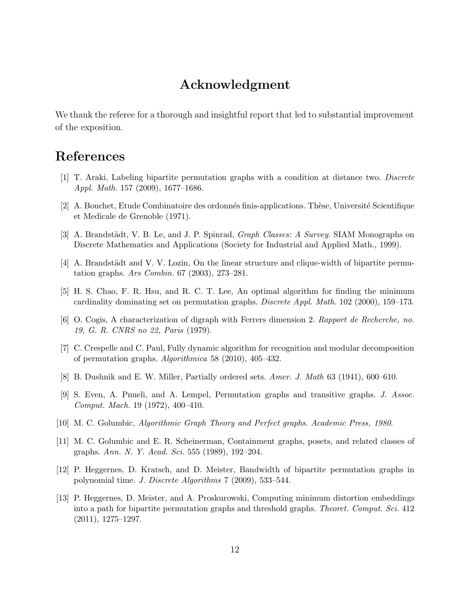## Acknowledgment

We thank the referee for a thorough and insightful report that led to substantial improvement of the exposition.

### References

- [1] T. Araki, Labeling bipartite permutation graphs with a condition at distance two. *Discrete Appl. Math.* 157 (2009), 1677–1686.
- [2] A. Bouchet, Etude Combinatoire des ordonnés finis-applications. Thèse, Université Scientifique et Medicale de Grenoble (1971).
- [3] A. Brandstädt, V. B. Le, and J. P. Spinrad, *Graph Classes: A Survey*. SIAM Monographs on Discrete Mathematics and Applications (Society for Industrial and Applied Math., 1999).
- [4] A. Brandstädt and V. V. Lozin, On the linear structure and clique-width of bipartite permutation graphs. *Ars Combin.* 67 (2003), 273–281.
- [5] H. S. Chao, F. R. Hsu, and R. C. T. Lee, An optimal algorithm for finding the minimum cardinality dominating set on permutation graphs. *Discrete Appl. Math.* 102 (2000), 159–173.
- [6] O. Cogis, A characterization of digraph with Ferrers dimension 2. *Rapport de Recherche, no. 19, G. R. CNRS no 22, Paris* (1979).
- [7] C. Crespelle and C. Paul, Fully dynamic algorithm for recognition and modular decomposition of permutation graphs. *Algorithmica* 58 (2010), 405–432.
- [8] B. Dushnik and E. W. Miller, Partially ordered sets. *Amer. J. Math* 63 (1941), 600–610.
- [9] S. Even, A. Pnueli, and A. Lempel, Permutation graphs and transitive graphs. *J. Assoc. Comput. Mach.* 19 (1972), 400–410.
- [10] M. C. Golumbic, *Algorithmic Graph Theory and Perfect graphs*. *Academic Press, 1980*.
- [11] M. C. Golumbic and E. R. Scheinerman, Containment graphs, posets, and related classes of graphs. *Ann. N. Y. Acad. Sci.* 555 (1989), 192–204.
- [12] P. Heggernes, D. Kratsch, and D. Meister, Bandwidth of bipartite permutation graphs in polynomial time. *J. Discrete Algorithms* 7 (2009), 533–544.
- [13] P. Heggernes, D. Meister, and A. Proskurowski, Computing minimum distortion embeddings into a path for bipartite permutation graphs and threshold graphs. *Theoret. Comput. Sci.* 412 (2011), 1275–1297.